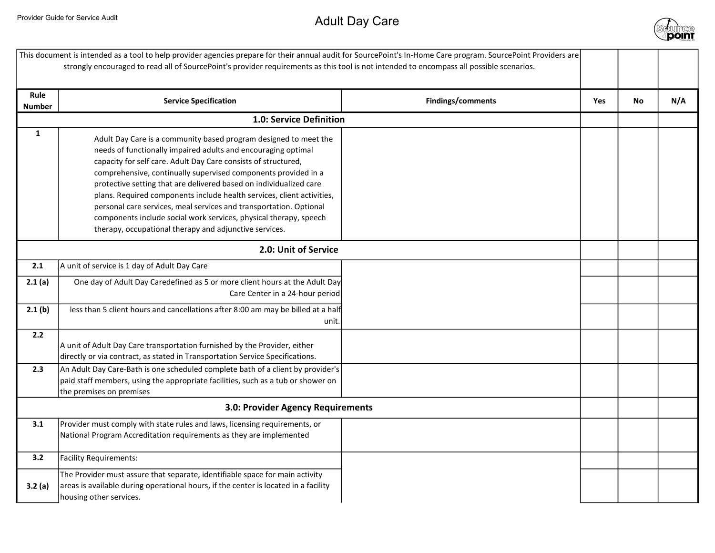

| This document is intended as a tool to help provider agencies prepare for their annual audit for SourcePoint's In-Home Care program. SourcePoint Providers are<br>strongly encouraged to read all of SourcePoint's provider requirements as this tool is not intended to encompass all possible scenarios. |                                                                                                                                                                                                                                                                                                                                                                                                                                                                                                                                                                                                                            |                   |     |           |     |
|------------------------------------------------------------------------------------------------------------------------------------------------------------------------------------------------------------------------------------------------------------------------------------------------------------|----------------------------------------------------------------------------------------------------------------------------------------------------------------------------------------------------------------------------------------------------------------------------------------------------------------------------------------------------------------------------------------------------------------------------------------------------------------------------------------------------------------------------------------------------------------------------------------------------------------------------|-------------------|-----|-----------|-----|
| Rule<br><b>Number</b>                                                                                                                                                                                                                                                                                      | <b>Service Specification</b>                                                                                                                                                                                                                                                                                                                                                                                                                                                                                                                                                                                               | Findings/comments | Yes | <b>No</b> | N/A |
|                                                                                                                                                                                                                                                                                                            | 1.0: Service Definition                                                                                                                                                                                                                                                                                                                                                                                                                                                                                                                                                                                                    |                   |     |           |     |
| $\mathbf{1}$                                                                                                                                                                                                                                                                                               | Adult Day Care is a community based program designed to meet the<br>needs of functionally impaired adults and encouraging optimal<br>capacity for self care. Adult Day Care consists of structured,<br>comprehensive, continually supervised components provided in a<br>protective setting that are delivered based on individualized care<br>plans. Required components include health services, client activities,<br>personal care services, meal services and transportation. Optional<br>components include social work services, physical therapy, speech<br>therapy, occupational therapy and adjunctive services. |                   |     |           |     |
| 2.0: Unit of Service                                                                                                                                                                                                                                                                                       |                                                                                                                                                                                                                                                                                                                                                                                                                                                                                                                                                                                                                            |                   |     |           |     |
| 2.1                                                                                                                                                                                                                                                                                                        | A unit of service is 1 day of Adult Day Care                                                                                                                                                                                                                                                                                                                                                                                                                                                                                                                                                                               |                   |     |           |     |
| 2.1(a)                                                                                                                                                                                                                                                                                                     | One day of Adult Day Caredefined as 5 or more client hours at the Adult Day<br>Care Center in a 24-hour period                                                                                                                                                                                                                                                                                                                                                                                                                                                                                                             |                   |     |           |     |
| 2.1(b)                                                                                                                                                                                                                                                                                                     | less than 5 client hours and cancellations after 8:00 am may be billed at a half<br>unit.                                                                                                                                                                                                                                                                                                                                                                                                                                                                                                                                  |                   |     |           |     |
| 2.2                                                                                                                                                                                                                                                                                                        | A unit of Adult Day Care transportation furnished by the Provider, either<br>directly or via contract, as stated in Transportation Service Specifications.                                                                                                                                                                                                                                                                                                                                                                                                                                                                 |                   |     |           |     |
| 2.3                                                                                                                                                                                                                                                                                                        | An Adult Day Care-Bath is one scheduled complete bath of a client by provider's<br>paid staff members, using the appropriate facilities, such as a tub or shower on<br>the premises on premises                                                                                                                                                                                                                                                                                                                                                                                                                            |                   |     |           |     |
|                                                                                                                                                                                                                                                                                                            | 3.0: Provider Agency Requirements                                                                                                                                                                                                                                                                                                                                                                                                                                                                                                                                                                                          |                   |     |           |     |
| 3.1                                                                                                                                                                                                                                                                                                        | Provider must comply with state rules and laws, licensing requirements, or<br>National Program Accreditation requirements as they are implemented                                                                                                                                                                                                                                                                                                                                                                                                                                                                          |                   |     |           |     |
| 3.2                                                                                                                                                                                                                                                                                                        | Facility Requirements:                                                                                                                                                                                                                                                                                                                                                                                                                                                                                                                                                                                                     |                   |     |           |     |
| 3.2 (a)                                                                                                                                                                                                                                                                                                    | The Provider must assure that separate, identifiable space for main activity<br>areas is available during operational hours, if the center is located in a facility<br>housing other services.                                                                                                                                                                                                                                                                                                                                                                                                                             |                   |     |           |     |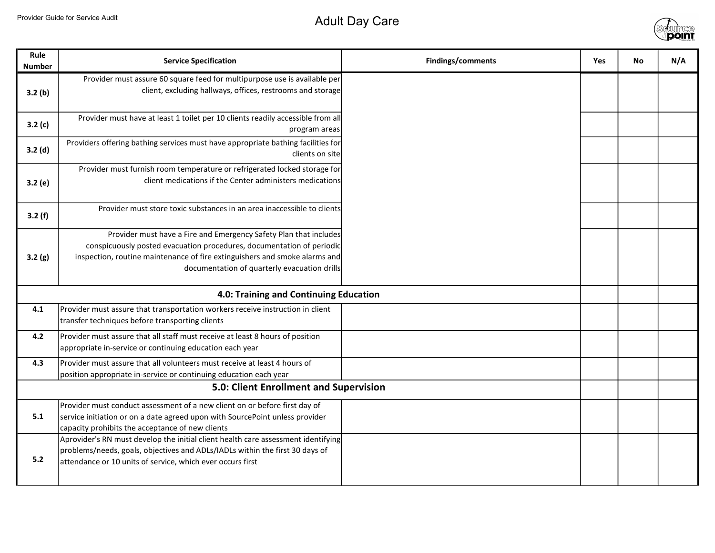

| Rule<br><b>Number</b> | <b>Service Specification</b>                                                                                                                                                                                                                                             | Findings/comments | Yes | <b>No</b> | N/A |
|-----------------------|--------------------------------------------------------------------------------------------------------------------------------------------------------------------------------------------------------------------------------------------------------------------------|-------------------|-----|-----------|-----|
| 3.2(b)                | Provider must assure 60 square feed for multipurpose use is available per<br>client, excluding hallways, offices, restrooms and storage                                                                                                                                  |                   |     |           |     |
| 3.2(c)                | Provider must have at least 1 toilet per 10 clients readily accessible from all<br>program areas                                                                                                                                                                         |                   |     |           |     |
| 3.2(d)                | Providers offering bathing services must have appropriate bathing facilities for<br>clients on site                                                                                                                                                                      |                   |     |           |     |
| 3.2(e)                | Provider must furnish room temperature or refrigerated locked storage for<br>client medications if the Center administers medications                                                                                                                                    |                   |     |           |     |
| 3.2(f)                | Provider must store toxic substances in an area inaccessible to clients                                                                                                                                                                                                  |                   |     |           |     |
| 3.2(g)                | Provider must have a Fire and Emergency Safety Plan that includes<br>conspicuously posted evacuation procedures, documentation of periodic<br>inspection, routine maintenance of fire extinguishers and smoke alarms and<br>documentation of quarterly evacuation drills |                   |     |           |     |
|                       | 4.0: Training and Continuing Education                                                                                                                                                                                                                                   |                   |     |           |     |
| 4.1                   | Provider must assure that transportation workers receive instruction in client<br>transfer techniques before transporting clients                                                                                                                                        |                   |     |           |     |
| 4.2                   | Provider must assure that all staff must receive at least 8 hours of position<br>appropriate in-service or continuing education each year                                                                                                                                |                   |     |           |     |
| 4.3                   | Provider must assure that all volunteers must receive at least 4 hours of<br>position appropriate in-service or continuing education each year                                                                                                                           |                   |     |           |     |
|                       | 5.0: Client Enrollment and Supervision                                                                                                                                                                                                                                   |                   |     |           |     |
| 5.1                   | Provider must conduct assessment of a new client on or before first day of<br>service initiation or on a date agreed upon with SourcePoint unless provider<br>capacity prohibits the acceptance of new clients                                                           |                   |     |           |     |
| $5.2$                 | Aprovider's RN must develop the initial client health care assessment identifying<br>problems/needs, goals, objectives and ADLs/IADLs within the first 30 days of<br>attendance or 10 units of service, which ever occurs first                                          |                   |     |           |     |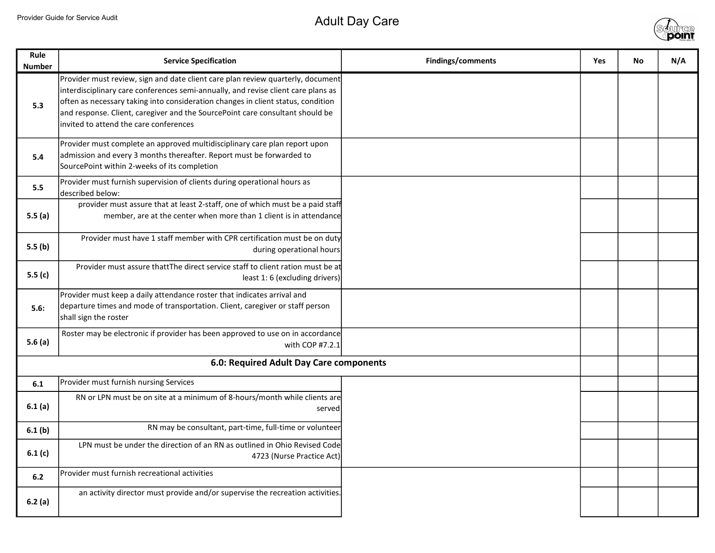

| Rule<br><b>Number</b> | <b>Service Specification</b>                                                                                                                                                                                                                                                                                                                                                        | <b>Findings/comments</b> | <b>Yes</b> | <b>No</b> | N/A |
|-----------------------|-------------------------------------------------------------------------------------------------------------------------------------------------------------------------------------------------------------------------------------------------------------------------------------------------------------------------------------------------------------------------------------|--------------------------|------------|-----------|-----|
| 5.3                   | Provider must review, sign and date client care plan review quarterly, document<br>interdisciplinary care conferences semi-annually, and revise client care plans as<br>often as necessary taking into consideration changes in client status, condition<br>and response. Client, caregiver and the SourcePoint care consultant should be<br>invited to attend the care conferences |                          |            |           |     |
| 5.4                   | Provider must complete an approved multidisciplinary care plan report upon<br>admission and every 3 months thereafter. Report must be forwarded to<br>SourcePoint within 2-weeks of its completion                                                                                                                                                                                  |                          |            |           |     |
| 5.5                   | Provider must furnish supervision of clients during operational hours as<br>described below:                                                                                                                                                                                                                                                                                        |                          |            |           |     |
| 5.5(a)                | provider must assure that at least 2-staff, one of which must be a paid staff<br>member, are at the center when more than 1 client is in attendance                                                                                                                                                                                                                                 |                          |            |           |     |
| 5.5(b)                | Provider must have 1 staff member with CPR certification must be on duty<br>during operational hours                                                                                                                                                                                                                                                                                |                          |            |           |     |
| 5.5(c)                | Provider must assure thattThe direct service staff to client ration must be at<br>least 1: 6 (excluding drivers)                                                                                                                                                                                                                                                                    |                          |            |           |     |
| 5.6:                  | Provider must keep a daily attendance roster that indicates arrival and<br>departure times and mode of transportation. Client, caregiver or staff person<br>shall sign the roster                                                                                                                                                                                                   |                          |            |           |     |
| 5.6(a)                | Roster may be electronic if provider has been approved to use on in accordance<br>with COP #7.2.1                                                                                                                                                                                                                                                                                   |                          |            |           |     |
|                       | 6.0: Required Adult Day Care components                                                                                                                                                                                                                                                                                                                                             |                          |            |           |     |
| 6.1                   | Provider must furnish nursing Services                                                                                                                                                                                                                                                                                                                                              |                          |            |           |     |
| 6.1(a)                | RN or LPN must be on site at a minimum of 8-hours/month while clients are<br>served                                                                                                                                                                                                                                                                                                 |                          |            |           |     |
| 6.1(b)                | RN may be consultant, part-time, full-time or volunteer                                                                                                                                                                                                                                                                                                                             |                          |            |           |     |
| 6.1(c)                | LPN must be under the direction of an RN as outlined in Ohio Revised Code<br>4723 (Nurse Practice Act)                                                                                                                                                                                                                                                                              |                          |            |           |     |
| 6.2                   | Provider must furnish recreational activities                                                                                                                                                                                                                                                                                                                                       |                          |            |           |     |
| 6.2(a)                | an activity director must provide and/or supervise the recreation activities.                                                                                                                                                                                                                                                                                                       |                          |            |           |     |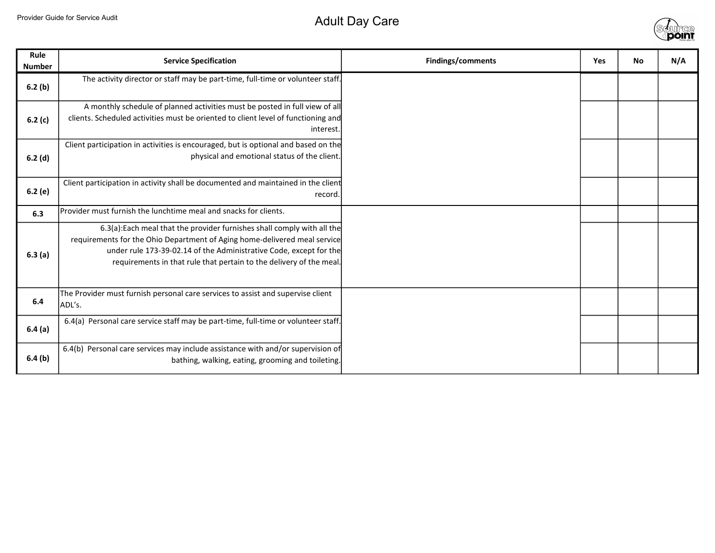## Provider Guide for Service Audit Adult Day Care



| Rule<br><b>Number</b> | <b>Service Specification</b>                                                                                                                                                                                                                                                                      | Findings/comments | Yes | <b>No</b> | N/A |
|-----------------------|---------------------------------------------------------------------------------------------------------------------------------------------------------------------------------------------------------------------------------------------------------------------------------------------------|-------------------|-----|-----------|-----|
| 6.2(b)                | The activity director or staff may be part-time, full-time or volunteer staff.                                                                                                                                                                                                                    |                   |     |           |     |
| 6.2 $(c)$             | A monthly schedule of planned activities must be posted in full view of all<br>clients. Scheduled activities must be oriented to client level of functioning and<br>interest.                                                                                                                     |                   |     |           |     |
| 6.2(d)                | Client participation in activities is encouraged, but is optional and based on the<br>physical and emotional status of the client.                                                                                                                                                                |                   |     |           |     |
| 6.2(e)                | Client participation in activity shall be documented and maintained in the client<br>record.                                                                                                                                                                                                      |                   |     |           |     |
| 6.3                   | Provider must furnish the lunchtime meal and snacks for clients.                                                                                                                                                                                                                                  |                   |     |           |     |
| 6.3(a)                | 6.3(a): Each meal that the provider furnishes shall comply with all the<br>requirements for the Ohio Department of Aging home-delivered meal service<br>under rule 173-39-02.14 of the Administrative Code, except for the<br>requirements in that rule that pertain to the delivery of the meal. |                   |     |           |     |
| 6.4                   | The Provider must furnish personal care services to assist and supervise client<br>ADL's.                                                                                                                                                                                                         |                   |     |           |     |
| 6.4(a)                | 6.4(a) Personal care service staff may be part-time, full-time or volunteer staff.                                                                                                                                                                                                                |                   |     |           |     |
| 6.4(b)                | 6.4(b) Personal care services may include assistance with and/or supervision of<br>bathing, walking, eating, grooming and toileting.                                                                                                                                                              |                   |     |           |     |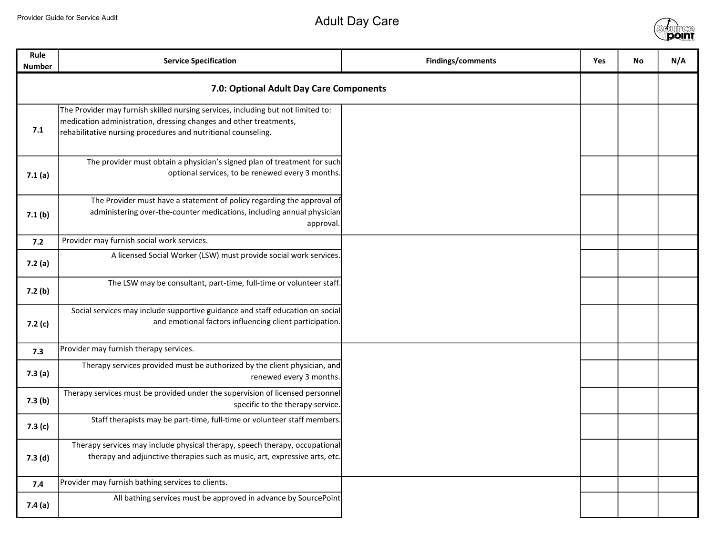

| <b>Rule</b><br><b>Number</b> | <b>Service Specification</b>                                                                                                                                                                                           | Findings/comments | Yes | No | N/A |
|------------------------------|------------------------------------------------------------------------------------------------------------------------------------------------------------------------------------------------------------------------|-------------------|-----|----|-----|
|                              | 7.0: Optional Adult Day Care Components                                                                                                                                                                                |                   |     |    |     |
| 7.1                          | The Provider may furnish skilled nursing services, including but not limited to:<br>medication administration, dressing changes and other treatments,<br>rehabilitative nursing procedures and nutritional counseling. |                   |     |    |     |
| 7.1(a)                       | The provider must obtain a physician's signed plan of treatment for such<br>optional services, to be renewed every 3 months.                                                                                           |                   |     |    |     |
| 7.1 <sub>(b)</sub>           | The Provider must have a statement of policy regarding the approval of<br>administering over-the-counter medications, including annual physician<br>approval.                                                          |                   |     |    |     |
| 7.2                          | Provider may furnish social work services.                                                                                                                                                                             |                   |     |    |     |
| 7.2(a)                       | A licensed Social Worker (LSW) must provide social work services.                                                                                                                                                      |                   |     |    |     |
| 7.2(b)                       | The LSW may be consultant, part-time, full-time or volunteer staff.                                                                                                                                                    |                   |     |    |     |
| 7.2(c)                       | Social services may include supportive guidance and staff education on social<br>and emotional factors influencing client participation.                                                                               |                   |     |    |     |
| 7.3                          | Provider may furnish therapy services.                                                                                                                                                                                 |                   |     |    |     |
| 7.3(a)                       | Therapy services provided must be authorized by the client physician, and<br>renewed every 3 months.                                                                                                                   |                   |     |    |     |
| 7.3(b)                       | Therapy services must be provided under the supervision of licensed personnel<br>specific to the therapy service.                                                                                                      |                   |     |    |     |
| 7.3(c)                       | Staff therapists may be part-time, full-time or volunteer staff members.                                                                                                                                               |                   |     |    |     |
| 7.3(d)                       | Therapy services may include physical therapy, speech therapy, occupational<br>therapy and adjunctive therapies such as music, art, expressive arts, etc.                                                              |                   |     |    |     |
| 7.4                          | Provider may furnish bathing services to clients.                                                                                                                                                                      |                   |     |    |     |
| 7.4(a)                       | All bathing services must be approved in advance by SourcePoint                                                                                                                                                        |                   |     |    |     |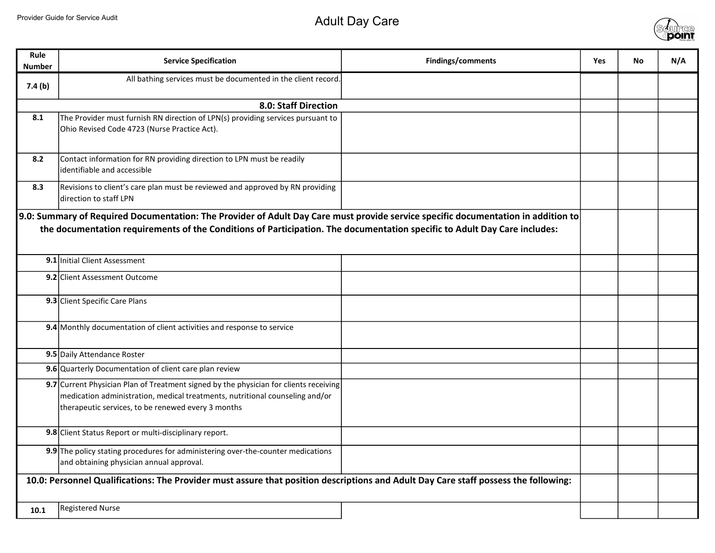

| Rule<br><b>Number</b>                                                                                                               | <b>Service Specification</b>                                                                                                                                                                                                                                   | Findings/comments | <b>Yes</b> | <b>No</b> | N/A |
|-------------------------------------------------------------------------------------------------------------------------------------|----------------------------------------------------------------------------------------------------------------------------------------------------------------------------------------------------------------------------------------------------------------|-------------------|------------|-----------|-----|
| 7.4(b)                                                                                                                              | All bathing services must be documented in the client record.                                                                                                                                                                                                  |                   |            |           |     |
|                                                                                                                                     | 8.0: Staff Direction                                                                                                                                                                                                                                           |                   |            |           |     |
| 8.1                                                                                                                                 | The Provider must furnish RN direction of LPN(s) providing services pursuant to<br>Ohio Revised Code 4723 (Nurse Practice Act).                                                                                                                                |                   |            |           |     |
| 8.2                                                                                                                                 | Contact information for RN providing direction to LPN must be readily<br>identifiable and accessible                                                                                                                                                           |                   |            |           |     |
| 8.3                                                                                                                                 | Revisions to client's care plan must be reviewed and approved by RN providing<br>direction to staff LPN                                                                                                                                                        |                   |            |           |     |
|                                                                                                                                     | 9.0: Summary of Required Documentation: The Provider of Adult Day Care must provide service specific documentation in addition to<br>the documentation requirements of the Conditions of Participation. The documentation specific to Adult Day Care includes: |                   |            |           |     |
|                                                                                                                                     | 9.1 Initial Client Assessment                                                                                                                                                                                                                                  |                   |            |           |     |
|                                                                                                                                     | 9.2 Client Assessment Outcome                                                                                                                                                                                                                                  |                   |            |           |     |
|                                                                                                                                     | 9.3 Client Specific Care Plans                                                                                                                                                                                                                                 |                   |            |           |     |
|                                                                                                                                     | 9.4 Monthly documentation of client activities and response to service                                                                                                                                                                                         |                   |            |           |     |
|                                                                                                                                     | 9.5 Daily Attendance Roster                                                                                                                                                                                                                                    |                   |            |           |     |
|                                                                                                                                     | 9.6 Quarterly Documentation of client care plan review                                                                                                                                                                                                         |                   |            |           |     |
|                                                                                                                                     | 9.7 Current Physician Plan of Treatment signed by the physician for clients receiving<br>medication administration, medical treatments, nutritional counseling and/or<br>therapeutic services, to be renewed every 3 months                                    |                   |            |           |     |
|                                                                                                                                     | 9.8 Client Status Report or multi-disciplinary report.                                                                                                                                                                                                         |                   |            |           |     |
|                                                                                                                                     | 9.9 The policy stating procedures for administering over-the-counter medications<br>and obtaining physician annual approval.                                                                                                                                   |                   |            |           |     |
| 10.0: Personnel Qualifications: The Provider must assure that position descriptions and Adult Day Care staff possess the following: |                                                                                                                                                                                                                                                                |                   |            |           |     |
| 10.1                                                                                                                                | <b>Registered Nurse</b>                                                                                                                                                                                                                                        |                   |            |           |     |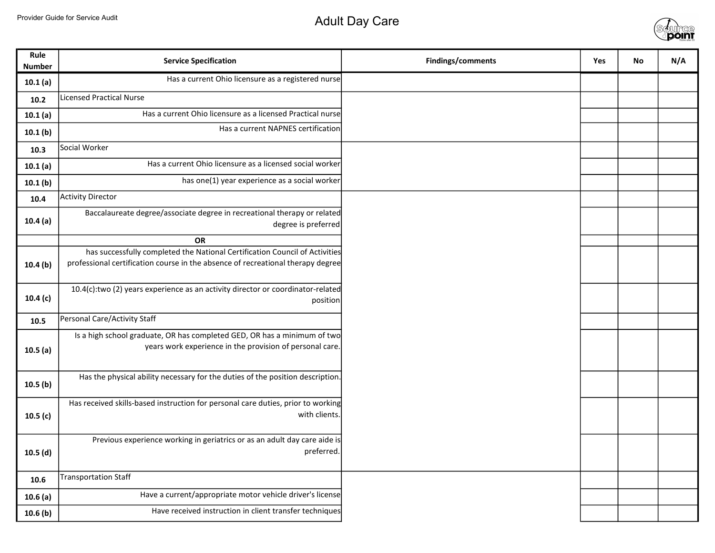## Provider Guide for Service Audit Adult Day Care



| Rule<br><b>Number</b> | <b>Service Specification</b>                                                                                                                                   | Findings/comments | Yes | No | N/A |
|-----------------------|----------------------------------------------------------------------------------------------------------------------------------------------------------------|-------------------|-----|----|-----|
| 10.1(a)               | Has a current Ohio licensure as a registered nurse                                                                                                             |                   |     |    |     |
| 10.2                  | <b>Licensed Practical Nurse</b>                                                                                                                                |                   |     |    |     |
| 10.1(a)               | Has a current Ohio licensure as a licensed Practical nurse                                                                                                     |                   |     |    |     |
| 10.1(b)               | Has a current NAPNES certification                                                                                                                             |                   |     |    |     |
| 10.3                  | Social Worker                                                                                                                                                  |                   |     |    |     |
| 10.1(a)               | Has a current Ohio licensure as a licensed social worker                                                                                                       |                   |     |    |     |
| 10.1(b)               | has one(1) year experience as a social worker                                                                                                                  |                   |     |    |     |
| 10.4                  | <b>Activity Director</b>                                                                                                                                       |                   |     |    |     |
| 10.4(a)               | Baccalaureate degree/associate degree in recreational therapy or related<br>degree is preferred                                                                |                   |     |    |     |
|                       | <b>OR</b>                                                                                                                                                      |                   |     |    |     |
| 10.4(b)               | has successfully completed the National Certification Council of Activities<br>professional certification course in the absence of recreational therapy degree |                   |     |    |     |
| 10.4(c)               | 10.4(c):two (2) years experience as an activity director or coordinator-related<br>position                                                                    |                   |     |    |     |
| 10.5                  | Personal Care/Activity Staff                                                                                                                                   |                   |     |    |     |
| 10.5(a)               | Is a high school graduate, OR has completed GED, OR has a minimum of two<br>years work experience in the provision of personal care.                           |                   |     |    |     |
| 10.5(b)               | Has the physical ability necessary for the duties of the position description.                                                                                 |                   |     |    |     |
| 10.5(c)               | Has received skills-based instruction for personal care duties, prior to working<br>with clients.                                                              |                   |     |    |     |
| 10.5(d)               | Previous experience working in geriatrics or as an adult day care aide is<br>preferred.                                                                        |                   |     |    |     |
| 10.6                  | <b>Transportation Staff</b>                                                                                                                                    |                   |     |    |     |
| 10.6(a)               | Have a current/appropriate motor vehicle driver's license                                                                                                      |                   |     |    |     |
| 10.6(b)               | Have received instruction in client transfer techniques                                                                                                        |                   |     |    |     |